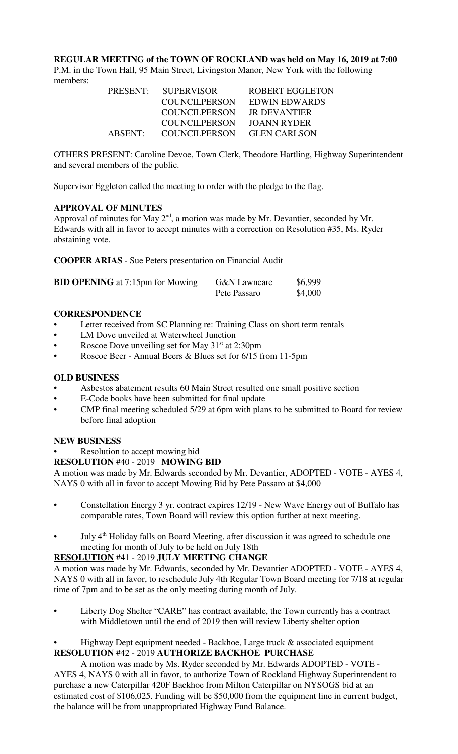**REGULAR MEETING of the TOWN OF ROCKLAND was held on May 16, 2019 at 7:00** P.M. in the Town Hall, 95 Main Street, Livingston Manor, New York with the following members:

| <b>PRESENT:</b> | <b>SUPERVISOR</b> | <b>ROBERT EGGLETON</b> |
|-----------------|-------------------|------------------------|
|                 | COUNCILPERSON     | <b>EDWIN EDWARDS</b>   |
|                 | COUNCILPERSON     | JR DEVANTIER           |
|                 | COUNCILPERSON     | JOANN RYDER            |
| ABSENT:         | COUNCILPERSON     | <b>GLEN CARLSON</b>    |

OTHERS PRESENT: Caroline Devoe, Town Clerk, Theodore Hartling, Highway Superintendent and several members of the public.

Supervisor Eggleton called the meeting to order with the pledge to the flag.

## **APPROVAL OF MINUTES**

Approval of minutes for May  $2<sup>nd</sup>$ , a motion was made by Mr. Devantier, seconded by Mr. Edwards with all in favor to accept minutes with a correction on Resolution #35, Ms. Ryder abstaining vote.

**COOPER ARIAS** - Sue Peters presentation on Financial Audit

| <b>BID OPENING</b> at 7:15pm for Mowing | <b>G&amp;N</b> Lawncare | \$6,999 |
|-----------------------------------------|-------------------------|---------|
|                                         | Pete Passaro            | \$4,000 |

## **CORRESPONDENCE**

- Letter received from SC Planning re: Training Class on short term rentals
- LM Dove unveiled at Waterwheel Junction
- Roscoe Dove unveiling set for May  $31<sup>st</sup>$  at 2:30pm
- Roscoe Beer Annual Beers & Blues set for 6/15 from 11-5pm

### **OLD BUSINESS**

- Asbestos abatement results 60 Main Street resulted one small positive section
- E-Code books have been submitted for final update
- CMP final meeting scheduled 5/29 at 6pm with plans to be submitted to Board for review before final adoption

#### **NEW BUSINESS**

# Resolution to accept mowing bid

#### **RESOLUTION** #40 - 2019 **MOWING BID**

A motion was made by Mr. Edwards seconded by Mr. Devantier, ADOPTED - VOTE - AYES 4, NAYS 0 with all in favor to accept Mowing Bid by Pete Passaro at \$4,000

- Constellation Energy 3 yr. contract expires 12/19 New Wave Energy out of Buffalo has comparable rates, Town Board will review this option further at next meeting.
- July 4<sup>th</sup> Holiday falls on Board Meeting, after discussion it was agreed to schedule one meeting for month of July to be held on July 18th

## **RESOLUTION** #41 - 2019 **JULY MEETING CHANGE**

A motion was made by Mr. Edwards, seconded by Mr. Devantier ADOPTED - VOTE - AYES 4, NAYS 0 with all in favor, to reschedule July 4th Regular Town Board meeting for 7/18 at regular time of 7pm and to be set as the only meeting during month of July.

• Liberty Dog Shelter "CARE" has contract available, the Town currently has a contract with Middletown until the end of 2019 then will review Liberty shelter option

## • Highway Dept equipment needed - Backhoe, Large truck & associated equipment **RESOLUTION** #42 - 2019 **AUTHORIZE BACKHOE PURCHASE**

A motion was made by Ms. Ryder seconded by Mr. Edwards ADOPTED - VOTE - AYES 4, NAYS 0 with all in favor, to authorize Town of Rockland Highway Superintendent to purchase a new Caterpillar 420F Backhoe from Milton Caterpillar on NYSOGS bid at an estimated cost of \$106,025. Funding will be \$50,000 from the equipment line in current budget, the balance will be from unappropriated Highway Fund Balance.